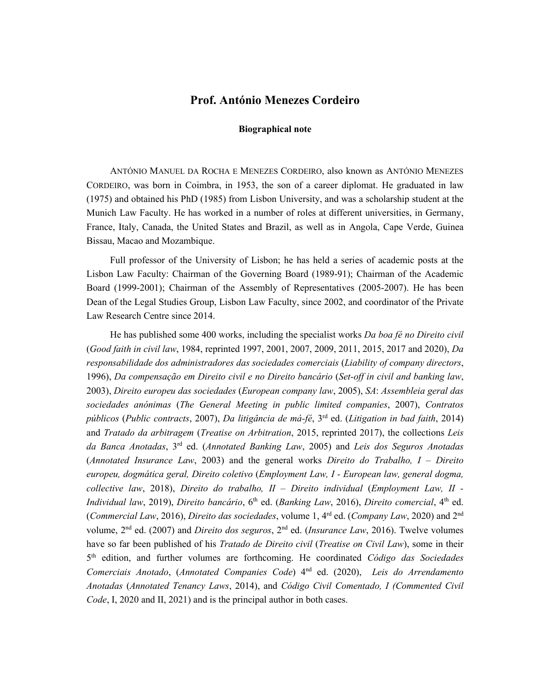## **Prof. António Menezes Cordeiro**

## **Biographical note**

ANTÓNIO MANUEL DA ROCHA E MENEZES CORDEIRO, also known as ANTÓNIO MENEZES CORDEIRO, was born in Coimbra, in 1953, the son of a career diplomat. He graduated in law (1975) and obtained his PhD (1985) from Lisbon University, and was a scholarship student at the Munich Law Faculty. He has worked in a number of roles at different universities, in Germany, France, Italy, Canada, the United States and Brazil, as well as in Angola, Cape Verde, Guinea Bissau, Macao and Mozambique.

Full professor of the University of Lisbon; he has held a series of academic posts at the Lisbon Law Faculty: Chairman of the Governing Board (1989-91); Chairman of the Academic Board (1999-2001); Chairman of the Assembly of Representatives (2005-2007). He has been Dean of the Legal Studies Group, Lisbon Law Faculty, since 2002, and coordinator of the Private Law Research Centre since 2014.

He has published some 400 works, including the specialist works *Da boa fé no Direito civil* (*Good faith in civil law*, 1984, reprinted 1997, 2001, 2007, 2009, 2011, 2015, 2017 and 2020), *Da responsabilidade dos administradores das sociedades comerciais* (*Liability of company directors*, 1996), *Da compensação em Direito civil e no Direito bancário* (*Set-off in civil and banking law*, 2003), *Direito europeu das sociedades* (*European company law*, 2005), *SA*: *Assembleia geral das sociedades anónimas* (*The General Meeting in public limited companies*, 2007), *Contratos públicos* (*Public contracts*, 2007), *Da litigância de má-fé*, 3rd ed. (*Litigation in bad faith*, 2014) and *Tratado da arbitragem* (*Treatise on Arbitration*, 2015, reprinted 2017), the collections *Leis da Banca Anotadas*, 3rd ed. (*Annotated Banking Law*, 2005) and *Leis dos Seguros Anotadas* (*Annotated Insurance Law*, 2003) and the general works *Direito do Trabalho, I* – *Direito europeu, dogmática geral, Direito coletivo* (*Employment Law, I - European law, general dogma, collective law*, 2018), *Direito do trabalho, II* – *Direito individual* (*Employment Law, II - Individual law*, 2019), *Direito bancário*, 6<sup>th</sup> ed. (*Banking Law*, 2016), *Direito comercial*, 4<sup>th</sup> ed. (*Commercial Law*, 2016), *Direito das sociedades*, volume 1, 4rd ed. (*Company Law*, 2020) and 2nd volume, 2nd ed. (2007) and *Direito dos seguros*, 2nd ed. (*Insurance Law*, 2016). Twelve volumes have so far been published of his *Tratado de Direito civil* (*Treatise on Civil Law*), some in their 5th edition, and further volumes are forthcoming. He coordinated *Código das Sociedades Comerciais Anotado*, (*Annotated Companies Code*) 4nd ed. (2020), *Leis do Arrendamento Anotadas* (*Annotated Tenancy Laws*, 2014), and *Código Civil Comentado, I (Commented Civil Code*, I, 2020 and II, 2021) and is the principal author in both cases.